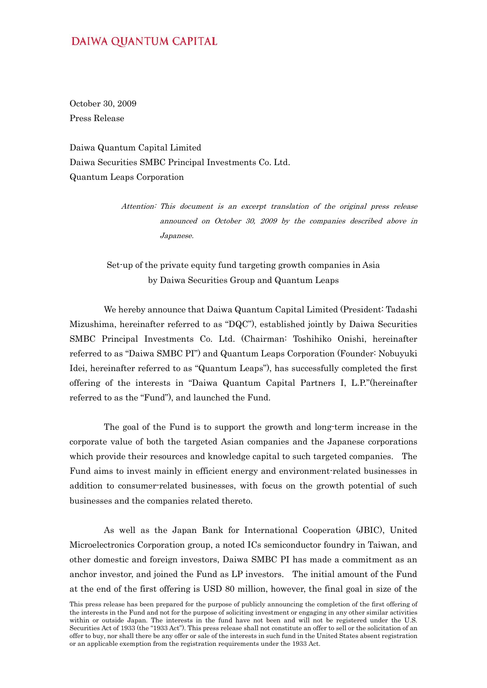## **DAIWA QUANTUM CAPITAL**

October 30, 2009 Press Release

Daiwa Quantum Capital Limited Daiwa Securities SMBC Principal Investments Co. Ltd. Quantum Leaps Corporation

> Attention: This document is an excerpt translation of the original press release announced on October 30, 2009 by the companies described above in Japanese.

Set-up of the private equity fund targeting growth companies in Asia by Daiwa Securities Group and Quantum Leaps

 We hereby announce that Daiwa Quantum Capital Limited (President: Tadashi Mizushima, hereinafter referred to as "DQC"), established jointly by Daiwa Securities SMBC Principal Investments Co. Ltd. (Chairman: Toshihiko Onishi, hereinafter referred to as "Daiwa SMBC PI") and Quantum Leaps Corporation (Founder: Nobuyuki Idei, hereinafter referred to as "Quantum Leaps"), has successfully completed the first offering of the interests in "Daiwa Quantum Capital Partners I, L.P."(hereinafter referred to as the "Fund"), and launched the Fund.

 The goal of the Fund is to support the growth and long-term increase in the corporate value of both the targeted Asian companies and the Japanese corporations which provide their resources and knowledge capital to such targeted companies. The Fund aims to invest mainly in efficient energy and environment-related businesses in addition to consumer-related businesses, with focus on the growth potential of such businesses and the companies related thereto.

 As well as the Japan Bank for International Cooperation (JBIC), United Microelectronics Corporation group, a noted ICs semiconductor foundry in Taiwan, and other domestic and foreign investors, Daiwa SMBC PI has made a commitment as an anchor investor, and joined the Fund as LP investors. The initial amount of the Fund at the end of the first offering is USD 80 million, however, the final goal in size of the

This press release has been prepared for the purpose of publicly announcing the completion of the first offering of the interests in the Fund and not for the purpose of soliciting investment or engaging in any other similar activities within or outside Japan. The interests in the fund have not been and will not be registered under the U.S. Securities Act of 1933 (the "1933 Act"). This press release shall not constitute an offer to sell or the solicitation of an offer to buy, nor shall there be any offer or sale of the interests in such fund in the United States absent registration or an applicable exemption from the registration requirements under the 1933 Act.